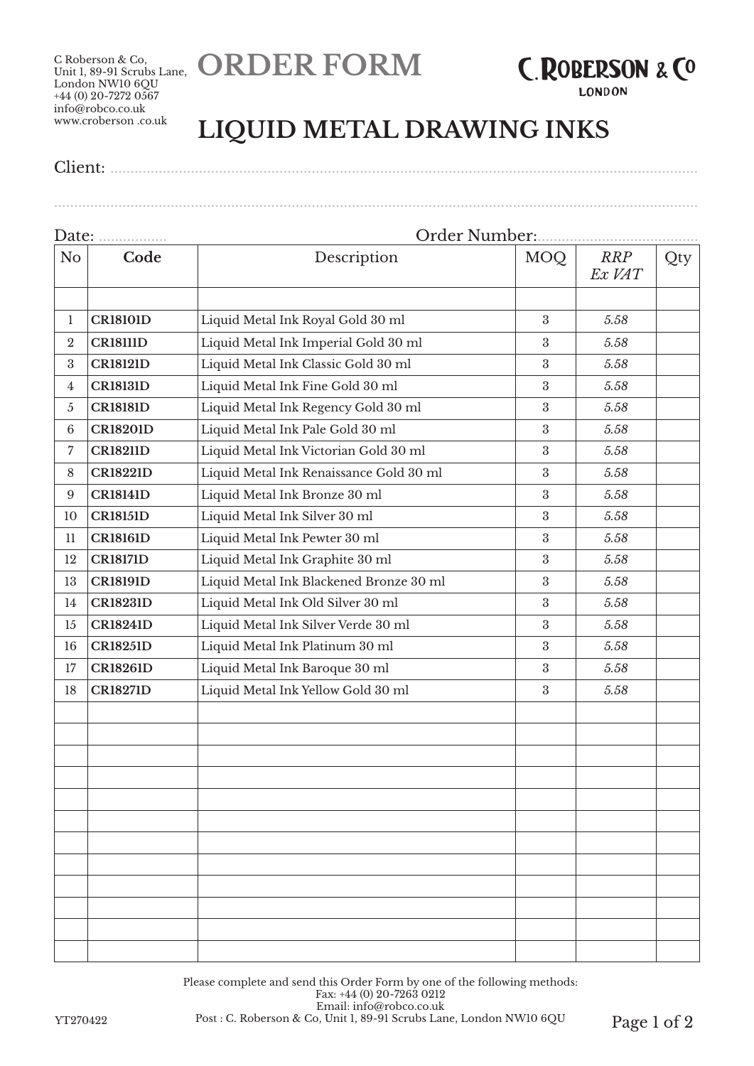**ORDER FORM**

C Roberson & Co, Unit 1, 89-91 Scrubs Lane.<br>Unit 1, 89-91 Scrubs Lane. London NW10 6QU +44 (0) 20-7272 0567 info@robco.co.uk www.croberson .co.uk



**LONDON** 

## **LIQUID METAL DRAWING INKS**

Client: ..................................................................................................................................................

................................................................................................................................................................

## Date: ................. Order Number:........................................ No **Code Description** MOQ *RRP Ex VAT* Qty 1 **CR18101D** Liquid Metal Ink Royal Gold 30 ml 3 3 5.58 2 **CR18111D** Liquid Metal Ink Imperial Gold 30 ml 3 3 5.58 3 **CR18121D** Liquid Metal Ink Classic Gold 30 ml 3 *5.58* 4 **CR18131D** Liquid Metal Ink Fine Gold 30 ml 3 *5.58* 5 **CR18181D** Liquid Metal Ink Regency Gold 30 ml 3 *5.58* 6 **CR18201D** Liquid Metal Ink Pale Gold 30 ml 3 *5.58* 7 **CR18211D** Liquid Metal Ink Victorian Gold 30 ml 3 *5.58* 8 **CR18221D** Liquid Metal Ink Renaissance Gold 30 ml 3 5.58 9 **CR18141D** Liquid Metal Ink Bronze 30 ml 3 *5.58* 10 **CR18151D** Liquid Metal Ink Silver 30 ml 3 *5.58* 11 **CR18161D** Liquid Metal Ink Pewter 30 ml 3 3 5.58 12 **CR18171D** Liquid Metal Ink Graphite 30 ml 3 *5.58* 13 **CR18191D** Liquid Metal Ink Blackened Bronze 30 ml 3 5.58 14 **CR18231D** Liquid Metal Ink Old Silver 30 ml 3 *5.58* 15 **CR18241D** Liquid Metal Ink Silver Verde 30 ml 3 *5.58* 16 **CR18251D** Liquid Metal Ink Platinum 30 ml 3 *5.58* 17 **CR18261D** Liquid Metal Ink Baroque 30 ml 3 *5.58* 18 **CR18271D** Liquid Metal Ink Yellow Gold 30 ml 3 5.58

Please complete and send this Order Form by one of the following methods: Fax: +44 (0) 20-7263 0212 Email: info@robco.co.uk YT270422 Post : C. Roberson & Co, Unit 1, 89-91 Scrubs Lane, London NW10 6QU